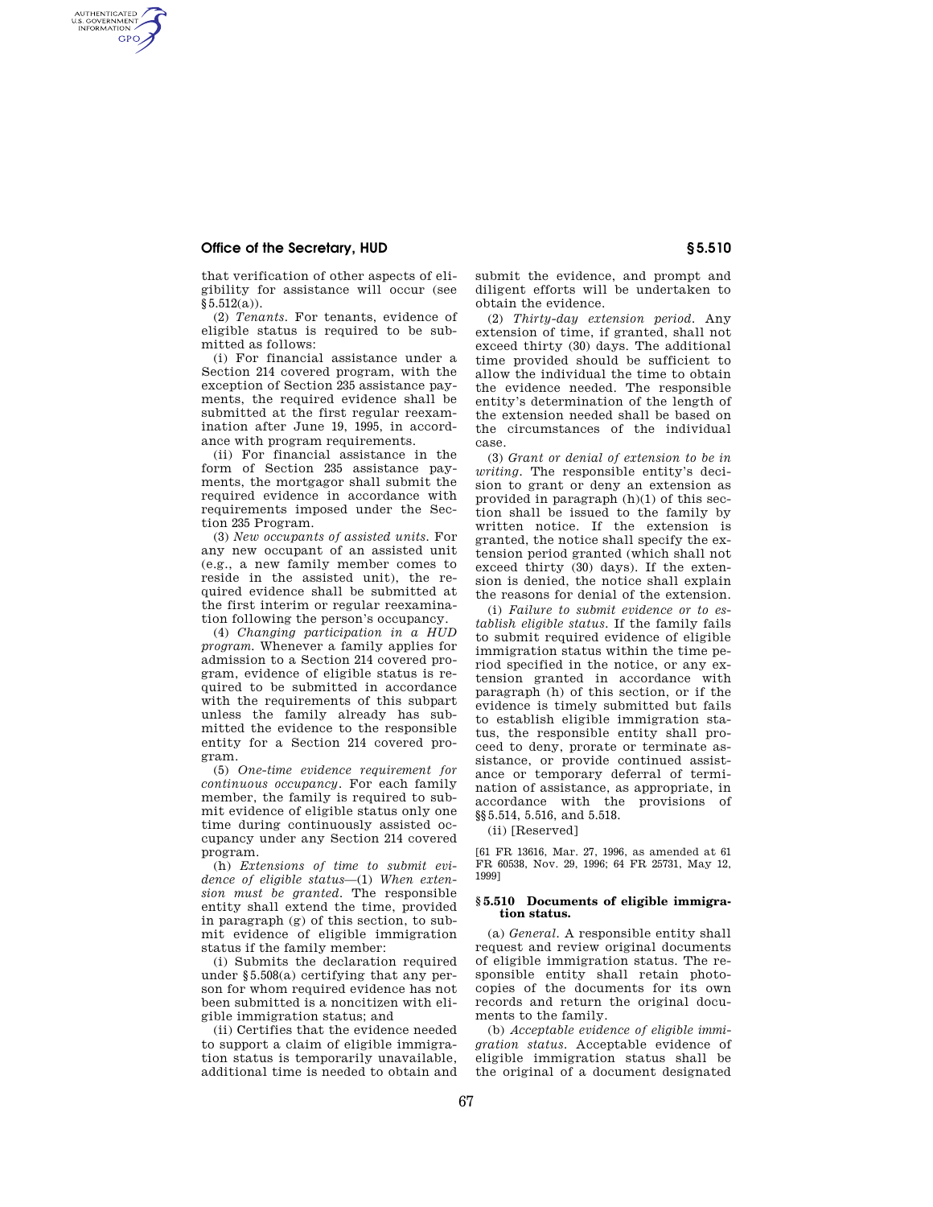## **Office of the Secretary, HUD § 5.510**

AUTHENTICATED<br>U.S. GOVERNMENT<br>INFORMATION **GPO** 

> that verification of other aspects of eligibility for assistance will occur (see  $$5.512(a)$ ).

> (2) *Tenants.* For tenants, evidence of eligible status is required to be submitted as follows:

> (i) For financial assistance under a Section 214 covered program, with the exception of Section 235 assistance payments, the required evidence shall be submitted at the first regular reexamination after June 19, 1995, in accordance with program requirements.

> (ii) For financial assistance in the form of Section 235 assistance payments, the mortgagor shall submit the required evidence in accordance with requirements imposed under the Section 235 Program.

> (3) *New occupants of assisted units.* For any new occupant of an assisted unit (e.g., a new family member comes to reside in the assisted unit), the required evidence shall be submitted at the first interim or regular reexamination following the person's occupancy.

> (4) *Changing participation in a HUD program.* Whenever a family applies for admission to a Section 214 covered program, evidence of eligible status is required to be submitted in accordance with the requirements of this subpart unless the family already has submitted the evidence to the responsible entity for a Section 214 covered program.

> (5) *One-time evidence requirement for continuous occupancy.* For each family member, the family is required to submit evidence of eligible status only one time during continuously assisted occupancy under any Section 214 covered program.

> (h) *Extensions of time to submit evidence of eligible status*—(1) *When extension must be granted.* The responsible entity shall extend the time, provided in paragraph (g) of this section, to submit evidence of eligible immigration status if the family member:

> (i) Submits the declaration required under §5.508(a) certifying that any person for whom required evidence has not been submitted is a noncitizen with eligible immigration status; and

> (ii) Certifies that the evidence needed to support a claim of eligible immigration status is temporarily unavailable, additional time is needed to obtain and

submit the evidence, and prompt and diligent efforts will be undertaken to obtain the evidence.

(2) *Thirty-day extension period.* Any extension of time, if granted, shall not exceed thirty (30) days. The additional time provided should be sufficient to allow the individual the time to obtain the evidence needed. The responsible entity's determination of the length of the extension needed shall be based on the circumstances of the individual case.

(3) *Grant or denial of extension to be in writing.* The responsible entity's decision to grant or deny an extension as provided in paragraph (h)(1) of this section shall be issued to the family by written notice. If the extension is granted, the notice shall specify the extension period granted (which shall not exceed thirty (30) days). If the extension is denied, the notice shall explain the reasons for denial of the extension.

(i) *Failure to submit evidence or to establish eligible status.* If the family fails to submit required evidence of eligible immigration status within the time period specified in the notice, or any extension granted in accordance with paragraph (h) of this section, or if the evidence is timely submitted but fails to establish eligible immigration status, the responsible entity shall proceed to deny, prorate or terminate assistance, or provide continued assistance or temporary deferral of termination of assistance, as appropriate, in accordance with the provisions of §§5.514, 5.516, and 5.518.

(ii) [Reserved]

[61 FR 13616, Mar. 27, 1996, as amended at 61 FR 60538, Nov. 29, 1996; 64 FR 25731, May 12, 1999]

## **§ 5.510 Documents of eligible immigration status.**

(a) *General.* A responsible entity shall request and review original documents of eligible immigration status. The responsible entity shall retain photocopies of the documents for its own records and return the original documents to the family.

(b) *Acceptable evidence of eligible immigration status.* Acceptable evidence of eligible immigration status shall be the original of a document designated